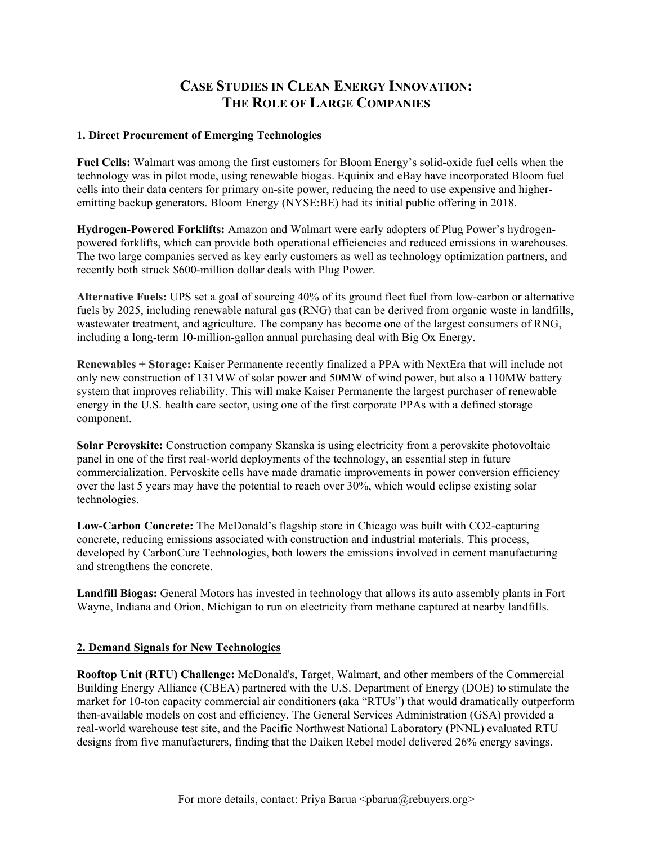# **CASE STUDIES IN CLEAN ENERGY INNOVATION: THE ROLE OF LARGE COMPANIES**

## **1. Direct Procurement of Emerging Technologies**

**Fuel Cells:** Walmart was among the first customers for Bloom Energy's solid-oxide fuel cells when the technology was in pilot mode, using renewable biogas. Equinix and eBay have incorporated Bloom fuel cells into their data centers for primary on-site power, reducing the need to use expensive and higheremitting backup generators. Bloom Energy (NYSE:BE) had its initial public offering in 2018.

**Hydrogen-Powered Forklifts:** Amazon and Walmart were early adopters of Plug Power's hydrogenpowered forklifts, which can provide both operational efficiencies and reduced emissions in warehouses. The two large companies served as key early customers as well as technology optimization partners, and recently both struck \$600-million dollar deals with Plug Power.

**Alternative Fuels:** UPS set a goal of sourcing 40% of its ground fleet fuel from low-carbon or alternative fuels by 2025, including renewable natural gas (RNG) that can be derived from organic waste in landfills, wastewater treatment, and agriculture. The company has become one of the largest consumers of RNG, including a long-term 10-million-gallon annual purchasing deal with Big Ox Energy.

**Renewables + Storage:** Kaiser Permanente recently finalized a PPA with NextEra that will include not only new construction of 131MW of solar power and 50MW of wind power, but also a 110MW battery system that improves reliability. This will make Kaiser Permanente the largest purchaser of renewable energy in the U.S. health care sector, using one of the first corporate PPAs with a defined storage component.

**Solar Perovskite:** Construction company Skanska is using electricity from a perovskite photovoltaic panel in one of the first real-world deployments of the technology, an essential step in future commercialization. Pervoskite cells have made dramatic improvements in power conversion efficiency over the last 5 years may have the potential to reach over 30%, which would eclipse existing solar technologies.

**Low-Carbon Concrete:** The McDonald's flagship store in Chicago was built with CO2-capturing concrete, reducing emissions associated with construction and industrial materials. This process, developed by CarbonCure Technologies, both lowers the emissions involved in cement manufacturing and strengthens the concrete.

**Landfill Biogas:** General Motors has invested in technology that allows its auto assembly plants in Fort Wayne, Indiana and Orion, Michigan to run on electricity from methane captured at nearby landfills.

#### **2. Demand Signals for New Technologies**

**Rooftop Unit (RTU) Challenge:** McDonald's, Target, Walmart, and other members of the Commercial Building Energy Alliance (CBEA) partnered with the U.S. Department of Energy (DOE) to stimulate the market for 10-ton capacity commercial air conditioners (aka "RTUs") that would dramatically outperform then-available models on cost and efficiency. The General Services Administration (GSA) provided a real-world warehouse test site, and the Pacific Northwest National Laboratory (PNNL) evaluated RTU designs from five manufacturers, finding that the Daiken Rebel model delivered 26% energy savings.